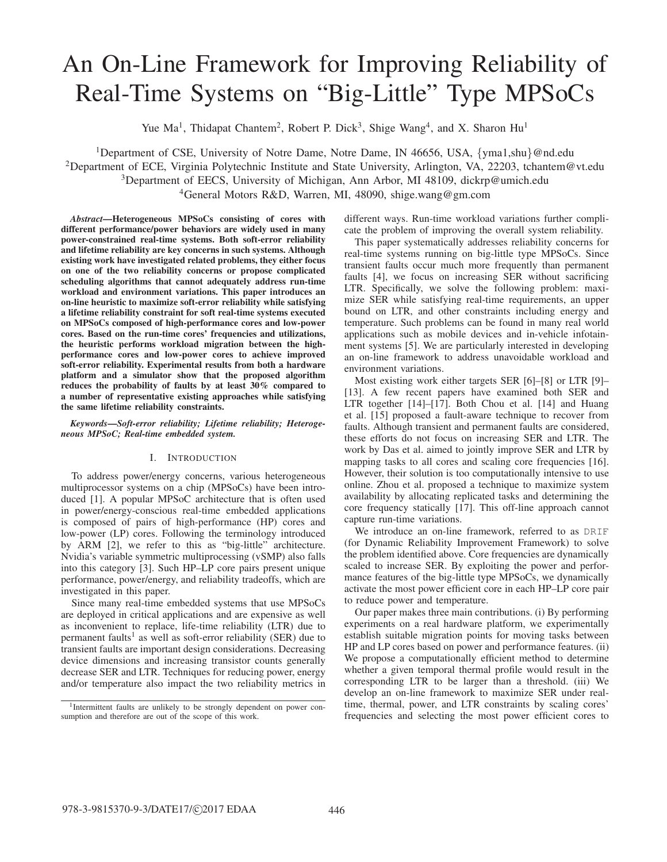# An On-Line Framework for Improving Reliability of Real-Time Systems on "Big-Little" Type MPSoCs

Yue  $Ma<sup>1</sup>$ , Thidapat Chantem<sup>2</sup>, Robert P. Dick<sup>3</sup>, Shige Wang<sup>4</sup>, and X. Sharon Hu<sup>1</sup>

1Department of CSE, University of Notre Dame, Notre Dame, IN 46656, USA, {yma1,shu}@nd.edu

<sup>2</sup>Department of ECE, Virginia Polytechnic Institute and State University, Arlington, VA, 22203, tchantem@vt.edu

3Department of EECS, University of Michigan, Ann Arbor, MI 48109, dickrp@umich.edu

4General Motors R&D, Warren, MI, 48090, shige.wang@gm.com

*Abstract*—Heterogeneous MPSoCs consisting of cores with different performance/power behaviors are widely used in many power-constrained real-time systems. Both soft-error reliability and lifetime reliability are key concerns in such systems. Although existing work have investigated related problems, they either focus on one of the two reliability concerns or propose complicated scheduling algorithms that cannot adequately address run-time workload and environment variations. This paper introduces an on-line heuristic to maximize soft-error reliability while satisfying a lifetime reliability constraint for soft real-time systems executed on MPSoCs composed of high-performance cores and low-power cores. Based on the run-time cores' frequencies and utilizations, the heuristic performs workload migration between the highperformance cores and low-power cores to achieve improved soft-error reliability. Experimental results from both a hardware platform and a simulator show that the proposed algorithm reduces the probability of faults by at least 30% compared to a number of representative existing approaches while satisfying the same lifetime reliability constraints.

*Keywords*—*Soft-error reliability; Lifetime reliability; Heterogeneous MPSoC; Real-time embedded system.*

# I. INTRODUCTION

To address power/energy concerns, various heterogeneous multiprocessor systems on a chip (MPSoCs) have been introduced [1]. A popular MPSoC architecture that is often used in power/energy-conscious real-time embedded applications is composed of pairs of high-performance (HP) cores and low-power (LP) cores. Following the terminology introduced by ARM [2], we refer to this as "big-little" architecture. Nvidia's variable symmetric multiprocessing (vSMP) also falls into this category [3]. Such HP–LP core pairs present unique performance, power/energy, and reliability tradeoffs, which are investigated in this paper.

Since many real-time embedded systems that use MPSoCs are deployed in critical applications and are expensive as well as inconvenient to replace, life-time reliability (LTR) due to permanent faults<sup>1</sup> as well as soft-error reliability (SER) due to transient faults are important design considerations. Decreasing device dimensions and increasing transistor counts generally decrease SER and LTR. Techniques for reducing power, energy and/or temperature also impact the two reliability metrics in different ways. Run-time workload variations further complicate the problem of improving the overall system reliability.

This paper systematically addresses reliability concerns for real-time systems running on big-little type MPSoCs. Since transient faults occur much more frequently than permanent faults [4], we focus on increasing SER without sacrificing LTR. Specifically, we solve the following problem: maximize SER while satisfying real-time requirements, an upper bound on LTR, and other constraints including energy and temperature. Such problems can be found in many real world applications such as mobile devices and in-vehicle infotainment systems [5]. We are particularly interested in developing an on-line framework to address unavoidable workload and environment variations.

Most existing work either targets SER [6]–[8] or LTR [9]– [13]. A few recent papers have examined both SER and LTR together [14]–[17]. Both Chou et al. [14] and Huang et al. [15] proposed a fault-aware technique to recover from faults. Although transient and permanent faults are considered, these efforts do not focus on increasing SER and LTR. The work by Das et al. aimed to jointly improve SER and LTR by mapping tasks to all cores and scaling core frequencies [16]. However, their solution is too computationally intensive to use online. Zhou et al. proposed a technique to maximize system availability by allocating replicated tasks and determining the core frequency statically [17]. This off-line approach cannot capture run-time variations.

We introduce an on-line framework, referred to as DRIF (for Dynamic Reliability Improvement Framework) to solve the problem identified above. Core frequencies are dynamically scaled to increase SER. By exploiting the power and performance features of the big-little type MPSoCs, we dynamically activate the most power efficient core in each HP–LP core pair to reduce power and temperature.

Our paper makes three main contributions. (i) By performing experiments on a real hardware platform, we experimentally establish suitable migration points for moving tasks between HP and LP cores based on power and performance features. (ii) We propose a computationally efficient method to determine whether a given temporal thermal profile would result in the corresponding LTR to be larger than a threshold. (iii) We develop an on-line framework to maximize SER under realtime, thermal, power, and LTR constraints by scaling cores' frequencies and selecting the most power efficient cores to

<sup>&</sup>lt;sup>1</sup>Intermittent faults are unlikely to be strongly dependent on power consumption and therefore are out of the scope of this work.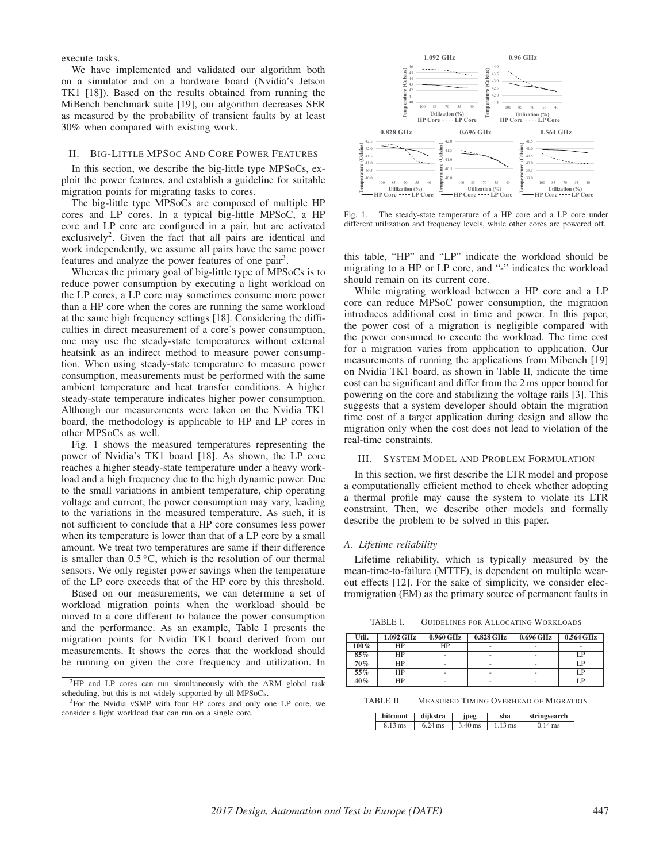execute tasks.

We have implemented and validated our algorithm both on a simulator and on a hardware board (Nvidia's Jetson TK1 [18]). Based on the results obtained from running the MiBench benchmark suite [19], our algorithm decreases SER as measured by the probability of transient faults by at least 30% when compared with existing work.

# II. BIG-LITTLE MPSOC AND CORE POWER FEATURES

In this section, we describe the big-little type MPSoCs, exploit the power features, and establish a guideline for suitable migration points for migrating tasks to cores.

The big-little type MPSoCs are composed of multiple HP cores and LP cores. In a typical big-little MPSoC, a HP core and LP core are configured in a pair, but are activated exclusively<sup>2</sup>. Given the fact that all pairs are identical and work independently, we assume all pairs have the same power features and analyze the power features of one pair<sup>3</sup>.

Whereas the primary goal of big-little type of MPSoCs is to reduce power consumption by executing a light workload on the LP cores, a LP core may sometimes consume more power than a HP core when the cores are running the same workload at the same high frequency settings [18]. Considering the difficulties in direct measurement of a core's power consumption, one may use the steady-state temperatures without external heatsink as an indirect method to measure power consumption. When using steady-state temperature to measure power consumption, measurements must be performed with the same ambient temperature and heat transfer conditions. A higher steady-state temperature indicates higher power consumption. Although our measurements were taken on the Nvidia TK1 board, the methodology is applicable to HP and LP cores in other MPSoCs as well.

Fig. 1 shows the measured temperatures representing the power of Nvidia's TK1 board [18]. As shown, the LP core reaches a higher steady-state temperature under a heavy workload and a high frequency due to the high dynamic power. Due to the small variations in ambient temperature, chip operating voltage and current, the power consumption may vary, leading to the variations in the measured temperature. As such, it is not sufficient to conclude that a HP core consumes less power when its temperature is lower than that of a LP core by a small amount. We treat two temperatures are same if their difference is smaller than  $0.5\,^{\circ}\text{C}$ , which is the resolution of our thermal sensors. We only register power savings when the temperature of the LP core exceeds that of the HP core by this threshold.

Based on our measurements, we can determine a set of workload migration points when the workload should be moved to a core different to balance the power consumption and the performance. As an example, Table I presents the migration points for Nvidia TK1 board derived from our measurements. It shows the cores that the workload should be running on given the core frequency and utilization. In



Fig. 1. The steady-state temperature of a HP core and a LP core under different utilization and frequency levels, while other cores are powered off.

this table, "HP" and "LP" indicate the workload should be migrating to a HP or LP core, and "-" indicates the workload should remain on its current core.

While migrating workload between a HP core and a LP core can reduce MPSoC power consumption, the migration introduces additional cost in time and power. In this paper, the power cost of a migration is negligible compared with the power consumed to execute the workload. The time cost for a migration varies from application to application. Our measurements of running the applications from Mibench [19] on Nvidia TK1 board, as shown in Table II, indicate the time cost can be significant and differ from the 2 ms upper bound for powering on the core and stabilizing the voltage rails [3]. This suggests that a system developer should obtain the migration time cost of a target application during design and allow the migration only when the cost does not lead to violation of the real-time constraints.

#### III. SYSTEM MODEL AND PROBLEM FORMULATION

In this section, we first describe the LTR model and propose a computationally efficient method to check whether adopting a thermal profile may cause the system to violate its LTR constraint. Then, we describe other models and formally describe the problem to be solved in this paper.

#### *A. Lifetime reliability*

Lifetime reliability, which is typically measured by the mean-time-to-failure (MTTF), is dependent on multiple wearout effects [12]. For the sake of simplicity, we consider electromigration (EM) as the primary source of permanent faults in

TABLE I. GUIDELINES FOR ALLOCATING WORKLOADS

| Util.   | 1.092 GHz | 0.960 GHz | 0.828 GHz      | 0.696 GHz | 0.564 GHz |
|---------|-----------|-----------|----------------|-----------|-----------|
| $100\%$ | HP        | HP        | $\blacksquare$ | ۰         | $\sim$    |
| $85\%$  | HP        | ۰         | $\blacksquare$ | ۰         | LP        |
| 70%     | HP        | $\sim$    | ۰              | -         | LP.       |
| 55%     | HP        | ۰         | ٠              | ۰         | LP        |
| 40%     | НP        | $\sim$    | ۰              | -         | LP        |

TABLE II. MEASURED TIMING OVERHEAD OF MIGRATION

| <b>bitcount</b>      | diikstra          | jpeg      | sha                  | stringsearch         |
|----------------------|-------------------|-----------|----------------------|----------------------|
| $8.13 \,\mathrm{ms}$ | $6.24 \text{ ms}$ | $3.40$ ms | $1.13 \,\mathrm{ms}$ | $0.14 \,\mathrm{ms}$ |

<sup>2</sup>HP and LP cores can run simultaneously with the ARM global task scheduling, but this is not widely supported by all MPSoCs.

<sup>3</sup>For the Nvidia vSMP with four HP cores and only one LP core, we consider a light workload that can run on a single core.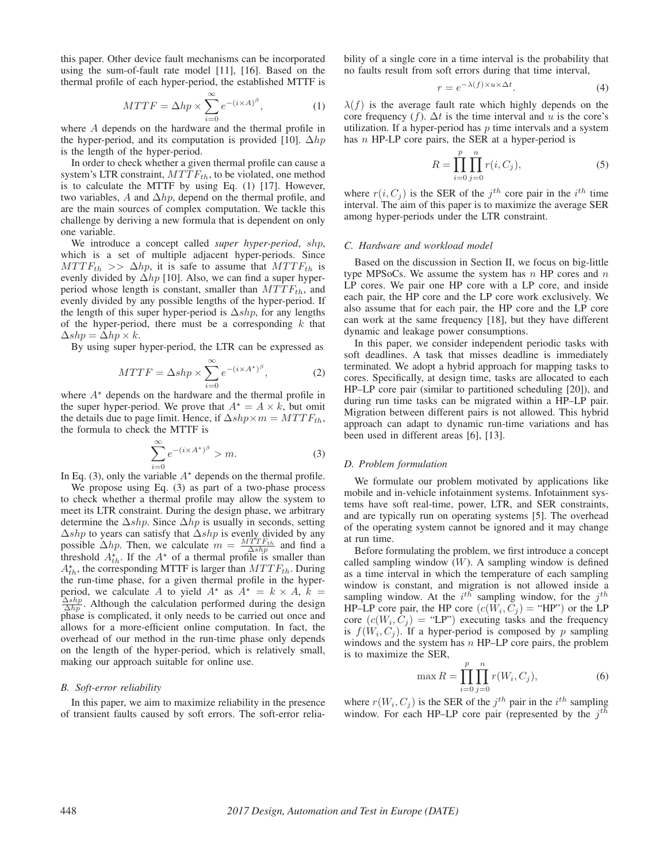this paper. Other device fault mechanisms can be incorporated using the sum-of-fault rate model [11], [16]. Based on the thermal profile of each hyper-period, the established MTTF is

$$
MTTF = \Delta hp \times \sum_{i=0}^{\infty} e^{-(i \times A)^{\beta}}, \tag{1}
$$

where A depends on the hardware and the thermal profile in the hyper-period, and its computation is provided [10].  $\Delta hp$ is the length of the hyper-period.

In order to check whether a given thermal profile can cause a system's LTR constraint,  $MTTF_{th}$ , to be violated, one method is to calculate the MTTF by using Eq. (1) [17]. However, two variables, A and  $\Delta hp$ , depend on the thermal profile, and are the main sources of complex computation. We tackle this challenge by deriving a new formula that is dependent on only one variable.

We introduce a concept called *super hyper-period*, shp, which is a set of multiple adjacent hyper-periods. Since  $MTTF_{th} >> \Delta hp$ , it is safe to assume that  $MTTF_{th}$  is evenly divided by  $\Delta hp$  [10]. Also, we can find a super hyperperiod whose length is constant, smaller than  $MTTF_{th}$ , and evenly divided by any possible lengths of the hyper-period. If the length of this super hyper-period is  $\Delta shp$ , for any lengths of the hyper-period, there must be a corresponding  $k$  that  $\triangle shp = \triangle hp \times k$ .

By using super hyper-period, the LTR can be expressed as

$$
MTTF = \Delta shp \times \sum_{i=0}^{\infty} e^{-(i \times A^*)^{\beta}}, \qquad (2)
$$

where  $A^*$  depends on the hardware and the thermal profile in the super hyper-period. We prove that  $A^* = A \times k$ , but omit the details due to page limit. Hence, if  $\Delta shp \times m = MTTF_{th}$ , the formula to check the MTTF is

$$
\sum_{i=0}^{\infty} e^{-(i \times A^*)^{\beta}} > m.
$$
 (3)

In Eq. (3), only the variable  $A^*$  depends on the thermal profile.

We propose using Eq. (3) as part of a two-phase process to check whether a thermal profile may allow the system to meet its LTR constraint. During the design phase, we arbitrary determine the  $\Delta shp$ . Since  $\Delta hp$  is usually in seconds, setting  $\Delta shp$  to years can satisfy that  $\Delta shp$  is evenly divided by any possible  $\Delta hp$ . Then, we calculate  $m = \frac{MTTF_{th}}{\Delta shp}$  and find a threshold  $A_{th}^{\star}$ . If the  $A^{\star}$  of a thermal profile is smaller than  $A_{th}^*$ , the corresponding MTTF is larger than  $MTTF_{th}$ . During the run-time phase, for a given thermal profile in the hyperperiod, we calculate A to yield  $A^*$  as  $A^* = k \times A$ ,  $k = \Delta shp$  Although the calculation performed during the decision  $\frac{\Delta shp}{\Delta hp}$ . Although the calculation performed during the design phase is complicated, it only needs to be carried out once and allows for a more-efficient online computation. In fact, the overhead of our method in the run-time phase only depends on the length of the hyper-period, which is relatively small, making our approach suitable for online use.

#### *B. Soft-error reliability*

In this paper, we aim to maximize reliability in the presence of transient faults caused by soft errors. The soft-error reliability of a single core in a time interval is the probability that no faults result from soft errors during that time interval,

$$
r = e^{-\lambda(f) \times u \times \Delta t}.
$$
 (4)

 $\lambda(f)$  is the average fault rate which highly depends on the core frequency (f).  $\Delta t$  is the time interval and u is the core's utilization. If a hyper-period has  $p$  time intervals and a system has  $n$  HP-LP core pairs, the SER at a hyper-period is

$$
R = \prod_{i=0}^{p} \prod_{j=0}^{n} r(i, C_j),
$$
 (5)

where  $r(i, C_j)$  is the SER of the  $j<sup>th</sup>$  core pair in the  $i<sup>th</sup>$  time interval. The aim of this paper is to maximize the average SER among hyper-periods under the LTR constraint.

#### *C. Hardware and workload model*

Based on the discussion in Section II, we focus on big-little type MPSoCs. We assume the system has  $n$  HP cores and  $n$ LP cores. We pair one HP core with a LP core, and inside each pair, the HP core and the LP core work exclusively. We also assume that for each pair, the HP core and the LP core can work at the same frequency [18], but they have different dynamic and leakage power consumptions.

In this paper, we consider independent periodic tasks with soft deadlines. A task that misses deadline is immediately terminated. We adopt a hybrid approach for mapping tasks to cores. Specifically, at design time, tasks are allocated to each HP–LP core pair (similar to partitioned scheduling [20]), and during run time tasks can be migrated within a HP–LP pair. Migration between different pairs is not allowed. This hybrid approach can adapt to dynamic run-time variations and has been used in different areas [6], [13].

#### *D. Problem formulation*

We formulate our problem motivated by applications like mobile and in-vehicle infotainment systems. Infotainment systems have soft real-time, power, LTR, and SER constraints, and are typically run on operating systems [5]. The overhead of the operating system cannot be ignored and it may change at run time.

Before formulating the problem, we first introduce a concept called sampling window  $(W)$ . A sampling window is defined as a time interval in which the temperature of each sampling window is constant, and migration is not allowed inside a sampling window. At the  $i^{th}$  sampling window, for the  $j^{th}$ HP–LP core pair, the HP core  $(c(W_i, C_j) = "HP")$  or the LP core  $(c(W_i, C_j) = "LP")$  executing tasks and the frequency is  $f(W_i, C_j)$ . If a hyper-period is composed by p sampling windows and the system has  $n$  HP–LP core pairs, the problem is to maximize the SER,

$$
\max R = \prod_{i=0}^{p} \prod_{j=0}^{n} r(W_i, C_j),
$$
\n(6)

where  $r(W_i, C_j)$  is the SER of the  $j^{th}$  pair in the  $i^{th}$  sampling window. For each HP–LP core pair (represented by the  $i^{th}$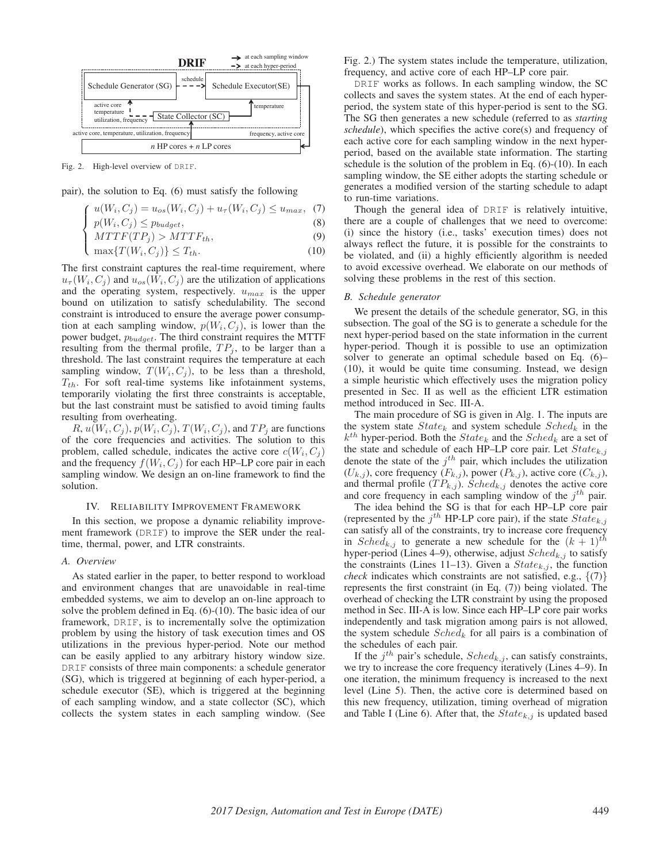

Fig. 2. High-level overview of DRIF.

pair), the solution to Eq. (6) must satisfy the following

$$
\int u(W_i, C_j) = u_{os}(W_i, C_j) + u_{\tau}(W_i, C_j) \le u_{max}, \tag{7}
$$

$$
\int p(W_i, C_j) \le p_{budget}, \tag{8}
$$

$$
MTTF(TP_j) > MTTF_{th},\tag{9}
$$

$$
\left(\max\{T(W_i, C_j)\}\leq T_{th}.\right) \tag{10}
$$

The first constraint captures the real-time requirement, where  $u_{\tau}(W_i, C_j)$  and  $u_{os}(W_i, C_j)$  are the utilization of applications and the operating system, respectively.  $u_{max}$  is the upper bound on utilization to satisfy schedulability. The second constraint is introduced to ensure the average power consumption at each sampling window,  $p(W_i, C_i)$ , is lower than the power budget,  $p_{budget}$ . The third constraint requires the MTTF resulting from the thermal profile,  $TP_j$ , to be larger than a threshold. The last constraint requires the temperature at each sampling window,  $T(W_i, C_j)$ , to be less than a threshold,  $T_{th}$ . For soft real-time systems like infotainment systems, temporarily violating the first three constraints is acceptable, but the last constraint must be satisfied to avoid timing faults resulting from overheating.

 $R, u(W_i, C_j), p(W_i, C_j), T(W_i, C_j)$ , and  $TP_j$  are functions of the core frequencies and activities. The solution to this problem, called schedule, indicates the active core  $c(W_i, C_i)$ and the frequency  $f(W_i, C_i)$  for each HP–LP core pair in each sampling window. We design an on-line framework to find the solution.

#### IV. RELIABILITY IMPROVEMENT FRAMEWORK

In this section, we propose a dynamic reliability improvement framework (DRIF) to improve the SER under the realtime, thermal, power, and LTR constraints.

#### *A. Overview*

As stated earlier in the paper, to better respond to workload and environment changes that are unavoidable in real-time embedded systems, we aim to develop an on-line approach to solve the problem defined in Eq. (6)-(10). The basic idea of our framework, DRIF, is to incrementally solve the optimization problem by using the history of task execution times and OS utilizations in the previous hyper-period. Note our method can be easily applied to any arbitrary history window size. DRIF consists of three main components: a schedule generator (SG), which is triggered at beginning of each hyper-period, a schedule executor (SE), which is triggered at the beginning of each sampling window, and a state collector (SC), which collects the system states in each sampling window. (See

Fig. 2.) The system states include the temperature, utilization, frequency, and active core of each HP–LP core pair.

DRIF works as follows. In each sampling window, the SC collects and saves the system states. At the end of each hyperperiod, the system state of this hyper-period is sent to the SG. The SG then generates a new schedule (referred to as *starting schedule*), which specifies the active core(s) and frequency of each active core for each sampling window in the next hyperperiod, based on the available state information. The starting schedule is the solution of the problem in Eq. (6)-(10). In each sampling window, the SE either adopts the starting schedule or generates a modified version of the starting schedule to adapt to run-time variations.

Though the general idea of DRIF is relatively intuitive, there are a couple of challenges that we need to overcome: (i) since the history (i.e., tasks' execution times) does not always reflect the future, it is possible for the constraints to be violated, and (ii) a highly efficiently algorithm is needed to avoid excessive overhead. We elaborate on our methods of solving these problems in the rest of this section.

## *B. Schedule generator*

We present the details of the schedule generator, SG, in this subsection. The goal of the SG is to generate a schedule for the next hyper-period based on the state information in the current hyper-period. Though it is possible to use an optimization solver to generate an optimal schedule based on Eq. (6)– (10), it would be quite time consuming. Instead, we design a simple heuristic which effectively uses the migration policy presented in Sec. II as well as the efficient LTR estimation method introduced in Sec. III-A.

The main procedure of SG is given in Alg. 1. The inputs are the system state  $State_k$  and system schedule  $Sched_k$  in the  $k^{th}$  hyper-period. Both the  $State_k$  and the  $Sched_k$  are a set of the state and schedule of each HP–LP core pair. Let  $State_{k,j}$ denote the state of the  $j<sup>th</sup>$  pair, which includes the utilization  $(U_{k,j})$ , core frequency  $(F_{k,j})$ , power  $(P_{k,j})$ , active core  $(C_{k,j})$ , and thermal profile  $(T P_{k,j})$ . Sched<sub>k,j</sub> denotes the active core and core frequency in each sampling window of the  $j<sup>th</sup>$  pair.

The idea behind the SG is that for each HP–LP core pair (represented by the  $j<sup>th</sup>$  HP-LP core pair), if the state  $State_{k,j}$ can satisfy all of the constraints, try to increase core frequency in  $Sched_{k,j}$  to generate a new schedule for the  $(k + 1)<sup>th</sup>$ hyper-period (Lines 4–9), otherwise, adjust  $Sched_{k,j}$  to satisfy the constraints (Lines 11–13). Given a  $State_{k,j}$ , the function *check* indicates which constraints are not satisfied, e.g., {(7)} represents the first constraint (in Eq. (7)) being violated. The overhead of checking the LTR constraint by using the proposed method in Sec. III-A is low. Since each HP–LP core pair works independently and task migration among pairs is not allowed, the system schedule  $Sched_k$  for all pairs is a combination of the schedules of each pair.

If the  $j^{th}$  pair's schedule,  $Sched_{k,j}$ , can satisfy constraints, we try to increase the core frequency iteratively (Lines 4–9). In one iteration, the minimum frequency is increased to the next level (Line 5). Then, the active core is determined based on this new frequency, utilization, timing overhead of migration and Table I (Line 6). After that, the  $State_{k,j}$  is updated based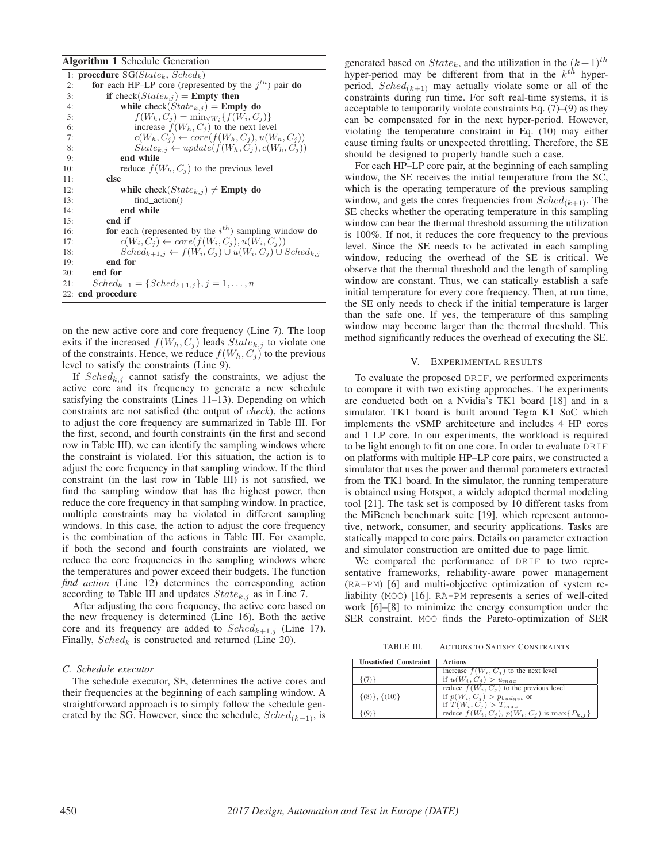|  |  |  | <b>Algorithm 1 Schedule Generation</b> |
|--|--|--|----------------------------------------|
|--|--|--|----------------------------------------|

|     | 1: <b>procedure</b> $SG(State_k, Sched_k)$                               |
|-----|--------------------------------------------------------------------------|
| 2:  | for each HP-LP core (represented by the $j^{th}$ ) pair do               |
| 3:  | if check( $State_{k,i}$ ) = Empty then                                   |
| 4:  | while check( $State_{k,i}$ ) = Empty do                                  |
| 5:  | $f(W_h, C_i) = \min_{W} \{f(W_i, C_i)\}$                                 |
| 6:  | increase $f(W_h, C_i)$ to the next level                                 |
| 7:  | $c(W_h, C_i) \leftarrow core(f(W_h, C_i), u(W_h, C_i))$                  |
| 8:  | $State_{k,i} \leftarrow update(f(W_h, C_i), c(W_h, C_i))$                |
| 9:  | end while                                                                |
| 10: | reduce $f(W_h, C_i)$ to the previous level                               |
| 11: | else                                                                     |
| 12: | while check( $State_{k,i}$ ) $\neq$ Empty do                             |
| 13: | find_action()                                                            |
| 14: | end while                                                                |
| 15: | end if                                                                   |
| 16: | for each (represented by the $i^{th}$ ) sampling window <b>do</b>        |
| 17: | $c(W_i, C_i) \leftarrow core(f(W_i, C_i), u(W_i, C_i))$                  |
| 18: | $Sched_{k+1,i} \leftarrow f(W_i, C_i) \cup u(W_i, C_i) \cup Sched_{k,i}$ |
| 19: | end for                                                                  |
| 20: | end for                                                                  |
| 21: | $Sched_{k+1} = \{Sched_{k+1,i}\}, j = 1, , n$                            |
|     | 22: end procedure                                                        |
|     |                                                                          |

on the new active core and core frequency (Line 7). The loop exits if the increased  $f(W_h, C_i)$  leads  $State_{k,j}$  to violate one of the constraints. Hence, we reduce  $f(W_h, C_i)$  to the previous level to satisfy the constraints (Line 9).

If  $Sched_{k,j}$  cannot satisfy the constraints, we adjust the active core and its frequency to generate a new schedule satisfying the constraints (Lines 11–13). Depending on which constraints are not satisfied (the output of *check*), the actions to adjust the core frequency are summarized in Table III. For the first, second, and fourth constraints (in the first and second row in Table III), we can identify the sampling windows where the constraint is violated. For this situation, the action is to adjust the core frequency in that sampling window. If the third constraint (in the last row in Table III) is not satisfied, we find the sampling window that has the highest power, then reduce the core frequency in that sampling window. In practice, multiple constraints may be violated in different sampling windows. In this case, the action to adjust the core frequency is the combination of the actions in Table III. For example, if both the second and fourth constraints are violated, we reduce the core frequencies in the sampling windows where the temperatures and power exceed their budgets. The function *find action* (Line 12) determines the corresponding action according to Table III and updates  $State_{k,j}$  as in Line 7.

After adjusting the core frequency, the active core based on the new frequency is determined (Line 16). Both the active core and its frequency are added to  $Sched_{k+1,j}$  (Line 17). Finally,  $Sched_k$  is constructed and returned (Line 20).

# *C. Schedule executor*

The schedule executor, SE, determines the active cores and their frequencies at the beginning of each sampling window. A straightforward approach is to simply follow the schedule generated by the SG. However, since the schedule,  $Sched_{(k+1)}$ , is generated based on  $State_k$ , and the utilization in the  $(k+1)$ <sup>th</sup> hyper-period may be different from that in the  $k<sup>th</sup>$  hyperperiod,  $Sched_{(k+1)}$  may actually violate some or all of the constraints during run time. For soft real-time systems, it is acceptable to temporarily violate constraints Eq. (7)–(9) as they can be compensated for in the next hyper-period. However, violating the temperature constraint in Eq. (10) may either cause timing faults or unexpected throttling. Therefore, the SE should be designed to properly handle such a case.

For each HP–LP core pair, at the beginning of each sampling window, the SE receives the initial temperature from the SC, which is the operating temperature of the previous sampling window, and gets the cores frequencies from  $Sched_{(k+1)}$ . The SE checks whether the operating temperature in this sampling window can bear the thermal threshold assuming the utilization is 100%. If not, it reduces the core frequency to the previous level. Since the SE needs to be activated in each sampling window, reducing the overhead of the SE is critical. We observe that the thermal threshold and the length of sampling window are constant. Thus, we can statically establish a safe initial temperature for every core frequency. Then, at run time, the SE only needs to check if the initial temperature is larger than the safe one. If yes, the temperature of this sampling window may become larger than the thermal threshold. This method significantly reduces the overhead of executing the SE.

#### V. EXPERIMENTAL RESULTS

To evaluate the proposed DRIF, we performed experiments to compare it with two existing approaches. The experiments are conducted both on a Nvidia's TK1 board [18] and in a simulator. TK1 board is built around Tegra K1 SoC which implements the vSMP architecture and includes 4 HP cores and 1 LP core. In our experiments, the workload is required to be light enough to fit on one core. In order to evaluate DRIF on platforms with multiple HP–LP core pairs, we constructed a simulator that uses the power and thermal parameters extracted from the TK1 board. In the simulator, the running temperature is obtained using Hotspot, a widely adopted thermal modeling tool [21]. The task set is composed by 10 different tasks from the MiBench benchmark suite [19], which represent automotive, network, consumer, and security applications. Tasks are statically mapped to core pairs. Details on parameter extraction and simulator construction are omitted due to page limit.

We compared the performance of DRIF to two representative frameworks, reliability-aware power management (RA-PM) [6] and multi-objective optimization of system reliability (MOO) [16]. RA-PM represents a series of well-cited work [6]–[8] to minimize the energy consumption under the SER constraint. MOO finds the Pareto-optimization of SER

TABLE III. ACTIONS TO SATISFY CONSTRAINTS

| <b>Unsatisfied Constraint</b> | <b>Actions</b>                                             |
|-------------------------------|------------------------------------------------------------|
|                               | increase $f(W_i, C_i)$ to the next level                   |
| $\{(7)\}\$                    | if $u(W_i, C_i) > u_{max}$                                 |
|                               | reduce $f(W_i, C_i)$ to the previous level                 |
| $\{(8)\}, \{(10)\}\$          | if $p(W_i, C_i) > p_{budget}$ or                           |
|                               | if $T(W_i, \tilde{C}_i) > T_{max}$                         |
| (Y)                           | reduce $f(W_i, C_i)$ , $p(W_i, C_i)$ is $\max\{P_{k,i}\}\$ |